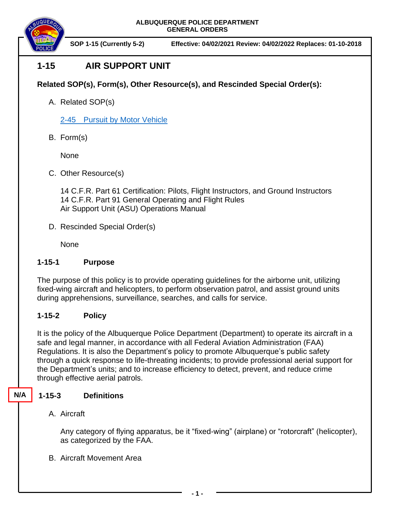**ALBUQUERQUE POLICE DEPARTMENT GENERAL ORDERS**



**SOP 1-15 (Currently 5-2) Effective: 04/02/2021 Review: 04/02/2022 Replaces: 01-10-2018**

# **1-15 AIR SUPPORT UNIT**

#### **Related SOP(s), Form(s), Other Resource(s), and Rescinded Special Order(s):**

A. Related SOP(s)

2-45 Pursuit [by Motor Vehicle](https://powerdms.com/docs/139)

B. Form(s)

None

C. Other Resource(s)

14 C.F.R. Part 61 Certification: Pilots, Flight Instructors, and Ground Instructors 14 C.F.R. Part 91 General Operating and Flight Rules Air Support Unit (ASU) Operations Manual

D. Rescinded Special Order(s)

None

#### **1-15-1 Purpose**

The purpose of this policy is to provide operating guidelines for the airborne unit, utilizing fixed-wing aircraft and helicopters, to perform observation patrol, and assist ground units during apprehensions, surveillance, searches, and calls for service.

## **1-15-2 Policy**

It is the policy of the Albuquerque Police Department (Department) to operate its aircraft in a safe and legal manner, in accordance with all Federal Aviation Administration (FAA) Regulations. It is also the Department's policy to promote Albuquerque's public safety through a quick response to life-threating incidents; to provide professional aerial support for the Department's units; and to increase efficiency to detect, prevent, and reduce crime through effective aerial patrols.

## **1-15-3 Definitions**

**N/A A**

A. Aircraft

Any category of flying apparatus, be it "fixed-wing" (airplane) or "rotorcraft" (helicopter), as categorized by the FAA.

B. Aircraft Movement Area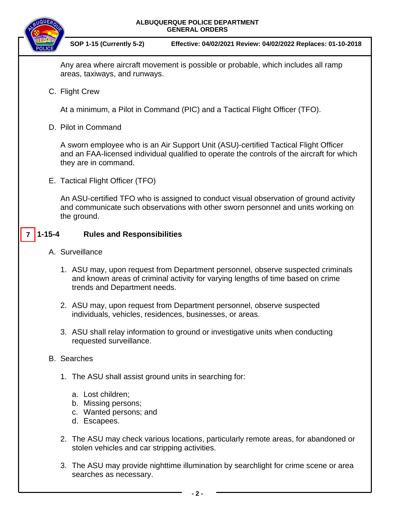

**SOP 1-15 (Currently 5-2) Effective: 04/02/2021 Review: 04/02/2022 Replaces: 01-10-2018**

Any area where aircraft movement is possible or probable, which includes all ramp areas, taxiways, and runways.

C. Flight Crew

At a minimum, a Pilot in Command (PIC) and a Tactical Flight Officer (TFO).

D. Pilot in Command

A sworn employee who is an Air Support Unit (ASU)-certified Tactical Flight Officer and an FAA-licensed individual qualified to operate the controls of the aircraft for which they are in command.

E. Tactical Flight Officer (TFO)

An ASU-certified TFO who is assigned to conduct visual observation of ground activity and communicate such observations with other sworn personnel and units working on the ground.

#### **1-15-4 Rules and Responsibilities 7**

- A. Surveillance
	- 1. ASU may, upon request from Department personnel, observe suspected criminals and known areas of criminal activity for varying lengths of time based on crime trends and Department needs.
	- 2. ASU may, upon request from Department personnel, observe suspected individuals, vehicles, residences, businesses, or areas.
	- 3. ASU shall relay information to ground or investigative units when conducting requested surveillance.
- B. Searches
	- 1. The ASU shall assist ground units in searching for:
		- a. Lost children;
		- b. Missing persons;
		- c. Wanted persons; and
		- d. Escapees.
	- 2. The ASU may check various locations, particularly remote areas, for abandoned or stolen vehicles and car stripping activities.
	- 3. The ASU may provide nighttime illumination by searchlight for crime scene or area searches as necessary.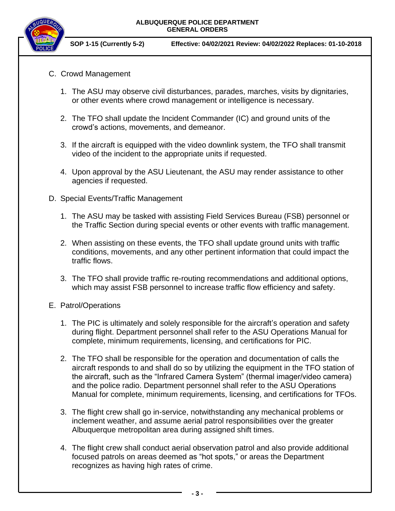

**SOP 1-15 (Currently 5-2) Effective: 04/02/2021 Review: 04/02/2022 Replaces: 01-10-2018**

- C. Crowd Management
	- 1. The ASU may observe civil disturbances, parades, marches, visits by dignitaries, or other events where crowd management or intelligence is necessary.
	- 2. The TFO shall update the Incident Commander (IC) and ground units of the crowd's actions, movements, and demeanor.
	- 3. If the aircraft is equipped with the video downlink system, the TFO shall transmit video of the incident to the appropriate units if requested.
	- 4. Upon approval by the ASU Lieutenant, the ASU may render assistance to other agencies if requested.
- D. Special Events/Traffic Management
	- 1. The ASU may be tasked with assisting Field Services Bureau (FSB) personnel or the Traffic Section during special events or other events with traffic management.
	- 2. When assisting on these events, the TFO shall update ground units with traffic conditions, movements, and any other pertinent information that could impact the traffic flows.
	- 3. The TFO shall provide traffic re-routing recommendations and additional options, which may assist FSB personnel to increase traffic flow efficiency and safety.
- E. Patrol/Operations
	- 1. The PIC is ultimately and solely responsible for the aircraft's operation and safety during flight. Department personnel shall refer to the ASU Operations Manual for complete, minimum requirements, licensing, and certifications for PIC.
	- 2. The TFO shall be responsible for the operation and documentation of calls the aircraft responds to and shall do so by utilizing the equipment in the TFO station of the aircraft, such as the "Infrared Camera System" (thermal imager/video camera) and the police radio. Department personnel shall refer to the ASU Operations Manual for complete, minimum requirements, licensing, and certifications for TFOs.
	- 3. The flight crew shall go in-service, notwithstanding any mechanical problems or inclement weather, and assume aerial patrol responsibilities over the greater Albuquerque metropolitan area during assigned shift times.
	- 4. The flight crew shall conduct aerial observation patrol and also provide additional focused patrols on areas deemed as "hot spots," or areas the Department recognizes as having high rates of crime.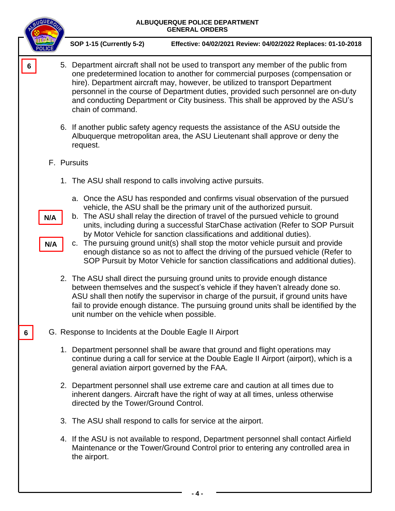|   | BUQUER     | ALBUQUERQUE POLICE DEPARTMENT<br><b>GENERAL ORDERS</b>                                                                                                                                                                                                                                                                                                                                                                                                                                                                                                                                                                                                           |
|---|------------|------------------------------------------------------------------------------------------------------------------------------------------------------------------------------------------------------------------------------------------------------------------------------------------------------------------------------------------------------------------------------------------------------------------------------------------------------------------------------------------------------------------------------------------------------------------------------------------------------------------------------------------------------------------|
|   |            | <b>SOP 1-15 (Currently 5-2)</b><br>Effective: 04/02/2021 Review: 04/02/2022 Replaces: 01-10-2018                                                                                                                                                                                                                                                                                                                                                                                                                                                                                                                                                                 |
| 6 |            | 5. Department aircraft shall not be used to transport any member of the public from<br>one predetermined location to another for commercial purposes (compensation or<br>hire). Department aircraft may, however, be utilized to transport Department<br>personnel in the course of Department duties, provided such personnel are on-duty<br>and conducting Department or City business. This shall be approved by the ASU's<br>chain of command.                                                                                                                                                                                                               |
|   |            | 6. If another public safety agency requests the assistance of the ASU outside the<br>Albuquerque metropolitan area, the ASU Lieutenant shall approve or deny the<br>request.                                                                                                                                                                                                                                                                                                                                                                                                                                                                                     |
|   |            | F. Pursuits                                                                                                                                                                                                                                                                                                                                                                                                                                                                                                                                                                                                                                                      |
|   |            | 1. The ASU shall respond to calls involving active pursuits.                                                                                                                                                                                                                                                                                                                                                                                                                                                                                                                                                                                                     |
|   | N/A<br>N/A | a. Once the ASU has responded and confirms visual observation of the pursued<br>vehicle, the ASU shall be the primary unit of the authorized pursuit.<br>b. The ASU shall relay the direction of travel of the pursued vehicle to ground<br>units, including during a successful StarChase activation (Refer to SOP Pursuit<br>by Motor Vehicle for sanction classifications and additional duties).<br>c. The pursuing ground unit(s) shall stop the motor vehicle pursuit and provide<br>enough distance so as not to affect the driving of the pursued vehicle (Refer to<br>SOP Pursuit by Motor Vehicle for sanction classifications and additional duties). |
|   |            | 2. The ASU shall direct the pursuing ground units to provide enough distance<br>between themselves and the suspect's vehicle if they haven't already done so.<br>ASU shall then notify the supervisor in charge of the pursuit, if ground units have<br>fail to provide enough distance. The pursuing ground units shall be identified by the<br>unit number on the vehicle when possible.                                                                                                                                                                                                                                                                       |
| 6 |            | G. Response to Incidents at the Double Eagle II Airport                                                                                                                                                                                                                                                                                                                                                                                                                                                                                                                                                                                                          |
|   |            | 1. Department personnel shall be aware that ground and flight operations may<br>continue during a call for service at the Double Eagle II Airport (airport), which is a<br>general aviation airport governed by the FAA.                                                                                                                                                                                                                                                                                                                                                                                                                                         |
|   |            | 2. Department personnel shall use extreme care and caution at all times due to<br>inherent dangers. Aircraft have the right of way at all times, unless otherwise<br>directed by the Tower/Ground Control.                                                                                                                                                                                                                                                                                                                                                                                                                                                       |
|   |            | 3. The ASU shall respond to calls for service at the airport.                                                                                                                                                                                                                                                                                                                                                                                                                                                                                                                                                                                                    |
|   |            | 4. If the ASU is not available to respond, Department personnel shall contact Airfield<br>Maintenance or the Tower/Ground Control prior to entering any controlled area in<br>the airport.                                                                                                                                                                                                                                                                                                                                                                                                                                                                       |
|   |            |                                                                                                                                                                                                                                                                                                                                                                                                                                                                                                                                                                                                                                                                  |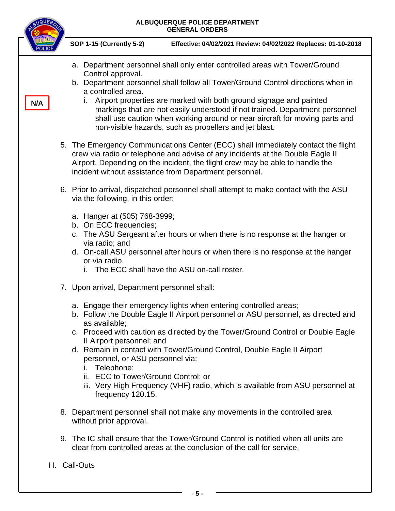